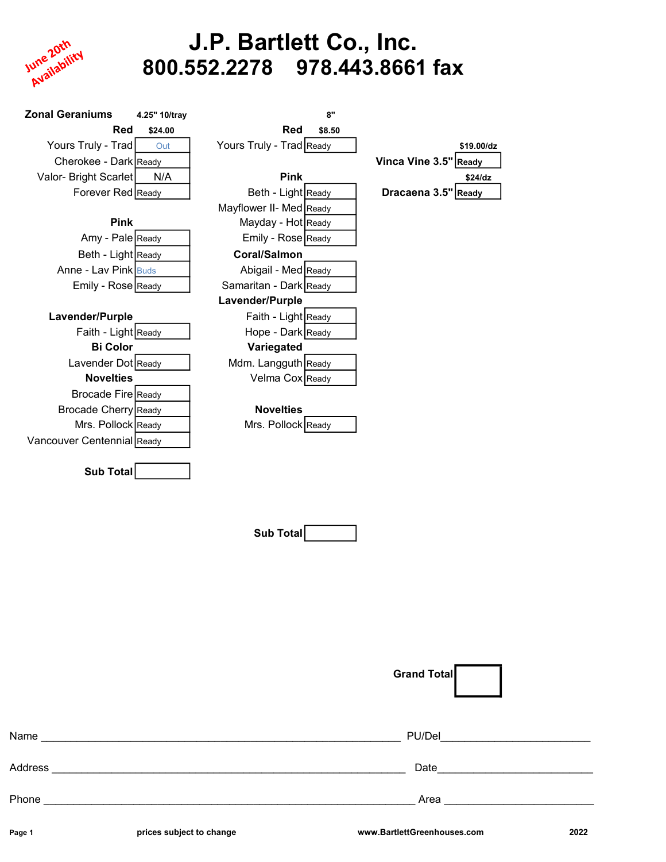

# J.P. Bartlett Co., Inc. 800.552.2278 978.443.8661 fax

| <b>Zonal Geraniums</b>     | 4.25" 10/tray |                          | 8"     |                       |
|----------------------------|---------------|--------------------------|--------|-----------------------|
| Red                        | \$24.00       | Red                      | \$8.50 |                       |
| Yours Truly - Trad         | Out           | Yours Truly - Trad Ready |        | \$19.00/dz            |
| Cherokee - Dark Ready      |               |                          |        | Vinca Vine 3.5" Ready |
| Valor- Bright Scarlet      | N/A           | <b>Pink</b>              |        | \$24/dz               |
| Forever Red Ready          |               | Beth - Light Ready       |        | Dracaena 3.5" Ready   |
|                            |               | Mayflower II- Med Ready  |        |                       |
| <b>Pink</b>                |               | Mayday - Hot Ready       |        |                       |
| Amy - Pale Ready           |               | Emily - Rose Ready       |        |                       |
| Beth - Light Ready         |               | <b>Coral/Salmon</b>      |        |                       |
| Anne - Lav Pink Buds       |               | Abigail - Med Ready      |        |                       |
| Emily - Rose Ready         |               | Samaritan - Dark Ready   |        |                       |
|                            |               | Lavender/Purple          |        |                       |
| Lavender/Purple            |               | Faith - Light Ready      |        |                       |
| Faith - Light Ready        |               | Hope - Dark Ready        |        |                       |
| <b>Bi Color</b>            |               | Variegated               |        |                       |
| Lavender Dot Ready         |               | Mdm. Langguth Ready      |        |                       |
| <b>Novelties</b>           |               | Velma Cox Ready          |        |                       |
| Brocade Fire Ready         |               |                          |        |                       |
| Brocade Cherry Ready       |               | <b>Novelties</b>         |        |                       |
| Mrs. Pollock Ready         |               | Mrs. Pollock Ready       |        |                       |
| Vancouver Centennial Ready |               |                          |        |                       |
| <b>Sub Total</b>           |               |                          |        |                       |

Sub Total

|         |                          | <b>Grand Total</b>          |      |
|---------|--------------------------|-----------------------------|------|
| Name    |                          | PU/Del                      |      |
| Address |                          | Date                        |      |
| Phone   |                          | Area                        |      |
| Page 1  | prices subject to change | www.BartlettGreenhouses.com | 2022 |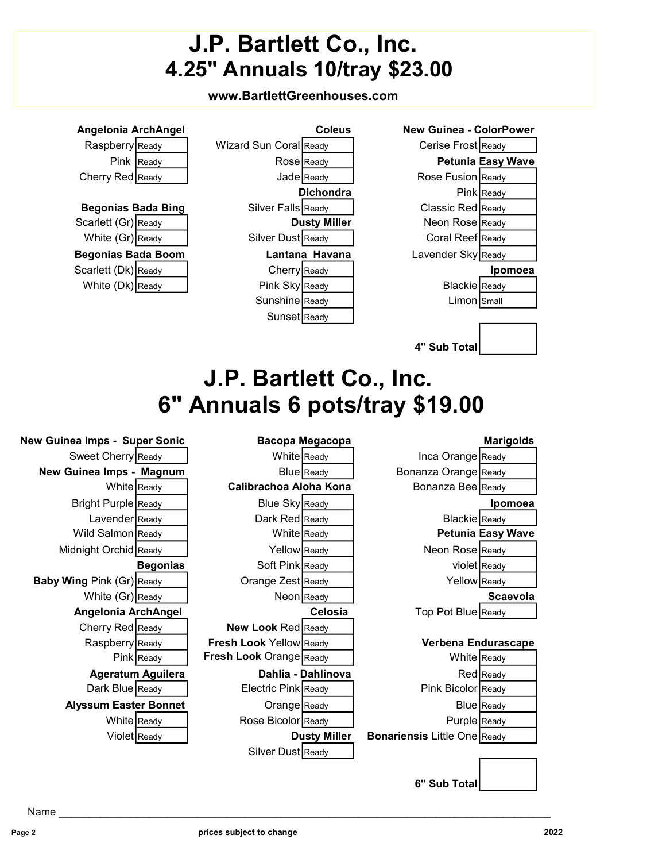# J.P. Bartlett Co., Inc. 4.25" Annuals 10/tray \$23.00

### www.BartlettGreenhouses.com

| Angelonia ArchAngel                                         |                                 | <b>Coleus</b>       | <b>New Guinea - ColorPower</b>              |
|-------------------------------------------------------------|---------------------------------|---------------------|---------------------------------------------|
| Raspberry Ready                                             | Wizard Sun Coral Ready          |                     | Cerise Frost Ready                          |
| Pink Ready                                                  | Rose Ready                      |                     | <b>Petunia Easy Wave</b>                    |
| Cherry Red Ready                                            | Jade Ready                      |                     | Rose Fusion Ready                           |
|                                                             |                                 | <b>Dichondra</b>    | Pink Ready                                  |
| <b>Begonias Bada Bing</b>                                   | Silver Falls Ready              |                     | Classic Red Ready                           |
| Scarlett (Gr) Ready                                         |                                 | <b>Dusty Miller</b> | Neon Rose Ready                             |
| White (Gr) Ready                                            | Silver Dust Ready               |                     | Coral Reef Ready                            |
| <b>Begonias Bada Boom</b>                                   |                                 | Lantana Havana      | Lavender Sky Ready                          |
| Scarlett (Dk) Ready                                         | Cherry Ready                    |                     | Ipomoea                                     |
| White (Dk) Ready                                            | Pink Sky Ready                  |                     | Blackie Ready                               |
|                                                             | Sunshine Ready                  |                     | Limon Small                                 |
|                                                             | Sunset Ready                    |                     |                                             |
|                                                             |                                 |                     |                                             |
|                                                             |                                 |                     | 4" Sub Total                                |
|                                                             | J.P. Bartlett Co., Inc.         |                     |                                             |
|                                                             |                                 |                     |                                             |
|                                                             |                                 |                     | 6" Annuals 6 pots/tray \$19.00              |
|                                                             |                                 |                     |                                             |
|                                                             |                                 |                     |                                             |
|                                                             |                                 | Bacopa Megacopa     | <b>Marigolds</b>                            |
| Sweet Cherry Ready                                          | White Ready                     |                     | Inca Orange Ready                           |
| New Guinea Imps - Magnum                                    |                                 | Blue Ready          | Bonanza Orange Ready                        |
| White Ready                                                 | Calibrachoa Aloha Kona          |                     | Bonanza Bee Ready                           |
| <b>New Guinea Imps - Super Sonic</b><br>Bright Purple Ready | Blue Sky Ready                  |                     | Ipomoea                                     |
| Lavender Ready                                              | Dark Red Ready                  |                     | Blackie Ready                               |
| Wild Salmon Ready                                           | White Ready                     |                     | <b>Petunia Easy Wave</b><br>Neon Rose Ready |
| Midnight Orchid Ready<br><b>Begonias</b>                    | Yellow Ready                    |                     |                                             |
|                                                             | Soft Pink Ready                 |                     | violet Ready                                |
| <b>Baby Wing Pink (Gr) Ready</b>                            | Orange Zest Ready<br>Neon Ready |                     | Yellow Ready<br>Scaevola                    |
| White (Gr) Ready<br>Angelonia ArchAngel                     |                                 | Celosia             | Top Pot Blue Ready                          |
|                                                             | New Look Red Ready              |                     |                                             |
| Cherry Red Ready<br>Raspberry Ready                         | Fresh Look Yellow Ready         |                     | Verbena Endurascape                         |
| Pink Ready                                                  | Fresh Look Orange Ready         |                     | White Ready                                 |
| <b>Ageratum Aguilera</b>                                    |                                 | Dahlia - Dahlinova  | Red Ready                                   |
| Dark Blue Ready                                             | Electric Pink Ready             |                     | Pink Bicolor Ready                          |
| <b>Alyssum Easter Bonnet</b>                                | Orange Ready                    |                     | Blue Ready                                  |

Violet Ready **Dusty Miller Bonariensis** Little One Ready

6" Sub Total

Silver Dust Ready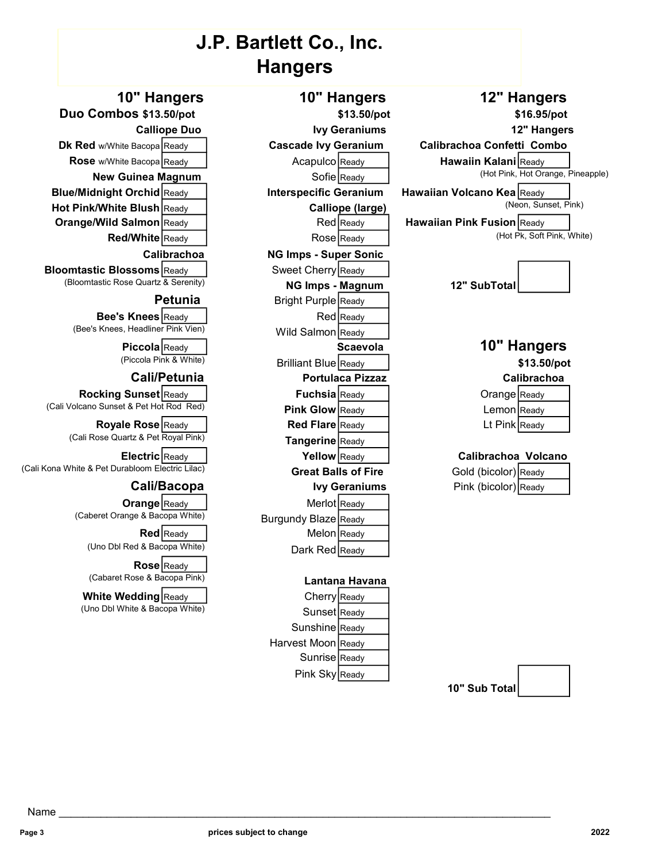### J.P. Bartlett Co., Inc. Hangers

New Guinea Magnum Sofie Ready Blue/Midnight Orchid Ready | Interspecific Geranium Hawaiian Volcano Kea Ready

**Orange/Wild Salmon** Ready **Red Ready Red Ready Hawaiian Pink Fusion** Ready

**Bloomtastic Blossoms** Ready **Ready Sweet Cherry Ready** 

**Bee's Knees** Ready Red Ready (Bee's Knees, Headliner Pink Vien) Wild Salmon Ready

Rocking Sunset Ready  $\parallel$  Fuchsia Ready (Cali Volcano Sunset & Pet Hot Rod Red) Pink Glow Ready

Royale Rose Ready Ready Red Flare Ready (Cali Rose Quartz & Pet Royal Pink) Tangerine Ready

(Cali Kona White & Pet Durabloom Electric Lilac) Great Balls of Fire

**Orange** Ready Merlot Ready<br>Caberet Orange & Bacopa White) Rurgundy Rlaze Ready

Rose Ready (Cabaret Rose & Bacopa Pink) Lantana Havana

White Wedding Ready Ready Cherry Ready

Calibrachoa NG Imps - Super Sonic (Bloomtastic Rose Quartz & Serenity) **NG Imps - Magnum** 12" SubTotal **Petunia** Bright Purple Ready Piccola Ready **Carry Scaevola**<br>(Piccola Pink & White) Ready Ready Ready Ready Ready Ready Ready Expedition Blue Ready 1 Cali/Petunia Portulaca Pizzaz Calibrachoa Electric Ready **Ready Calibrachoa Volcano** Cali/Bacopa Ivy Geraniums Burgundy Blaze Ready Red Ready **Network** Melon Ready (Uno Dbl Red & Bacopa White) Dark Red Ready

(Uno Dbl White & Bacopa White) Sunset Ready Sunshine Ready Harvest Moon Ready Sunrise Ready Pink Sky Ready

## 10" Hangers 10" Hangers 12" Hangers Duo Combos \$13.50/pot \$13.50/pot \$13.50/pot \$16.95/pot Calliope Duo **IVY Geraniums** 12" Hangers 12" Hangers Dk Red w/White Bacopa Ready **Cascade Ivy Geranium Calibrachoa Confetti Combo** Rose w/White Bacopa Ready **Ready** Acapulco Ready **Ready Hawaiin Kalani** Ready New Cuine a Manum Sofie Ready Ready Ready Ready Ready Ready Ready Ready Ready Ready Ready Ready Ready Ready Ready Ready Ready Ready Ready Ready Hot Pink/White Blush Ready **Calliope (large)** Calliope (Neon, Sunset, Pink) Red/White Ready Rose Ready Ready Ready Ready (Hot Pk, Soft Pink, White)



| Orange Ready  |  |
|---------------|--|
| Lemon Ready   |  |
| Lt Pink Ready |  |

| Gold (bicolor) Ready |  |
|----------------------|--|
| Pink (bicolor) Ready |  |

10" Sub Total